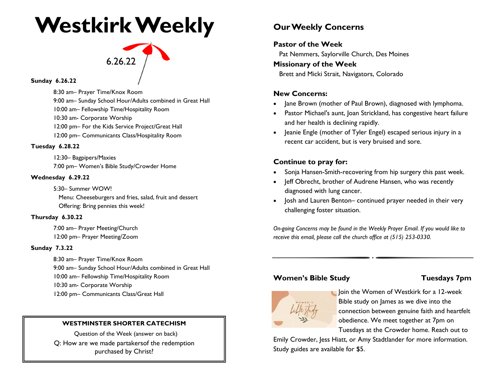## **Westkirk Weekly**

# 6.26.22

**Sunday 6.26.22** 

8:30 am– Prayer Time/Knox Room 9:00 am– Sunday School Hour/Adults combined in Great Hall

10:00 am– Fellowship Time/Hospitality Room

10:30 am- Corporate Worship

12:00 pm– For the Kids Service Project/Great Hall

12:00 pm– Communicants Class/Hospitality Room

#### **Tuesday 6.28.22**

12:30– Bagpipers/Maxies 7:00 pm– Women's Bible Study/Crowder Home

#### **Wednesday 6.29.22**

5:30– Summer WOW! Menu: Cheeseburgers and fries, salad, fruit and dessert Offering: Bring pennies this week!

#### **Thursday 6.30.22**

7:00 am– Prayer Meeting/Church 12:00 pm– Prayer Meeting/Zoom

#### **Sunday 7.3.22**

8:30 am– Prayer Time/Knox Room 9:00 am– Sunday School Hour/Adults combined in Great Hall 10:00 am– Fellowship Time/Hospitality Room 10:30 am- Corporate Worship 12:00 pm– Communicants Class/Great Hall

#### **WESTMINSTER SHORTER CATECHISM**

Question of the Week (answer on back) Q: How are we made partakersof the redemption purchased by Christ?

### **Our Weekly Concerns**

#### **Pastor of the Week**

Pat Nemmers, Saylorville Church, Des Moines

#### **Missionary of the Week**

Brett and Micki Strait, Navigators, Colorado

#### **New Concerns:**

- Jane Brown (mother of Paul Brown), diagnosed with lymphoma.
- Pastor Michael's aunt, Joan Strickland, has congestive heart failure and her health is declining rapidly.
- Jeanie Engle (mother of Tyler Engel) escaped serious injury in a recent car accident, but is very bruised and sore.

#### **Continue to pray for:**

- Sonja Hansen-Smith-recovering from hip surgery this past week.
- Jeff Obrecht, brother of Audrene Hansen, who was recently diagnosed with lung cancer.
- Josh and Lauren Benton– continued prayer needed in their very challenging foster situation.

*On-going Concerns may be found in the Weekly Prayer Email. If you would like to receive this email, please call the church office at (515) 253-0330.*

#### **Women's Bible Study Communishing Tuesdays 7pm**



Join the Women of Westkirk for a 12-week Bible study on James as we dive into the connection between genuine faith and heartfelt obedience. We meet together at 7pm on Tuesdays at the Crowder home. Reach out to

Emily Crowder, Jess Hiatt, or Amy Stadtlander for more information. Study guides are available for \$5.